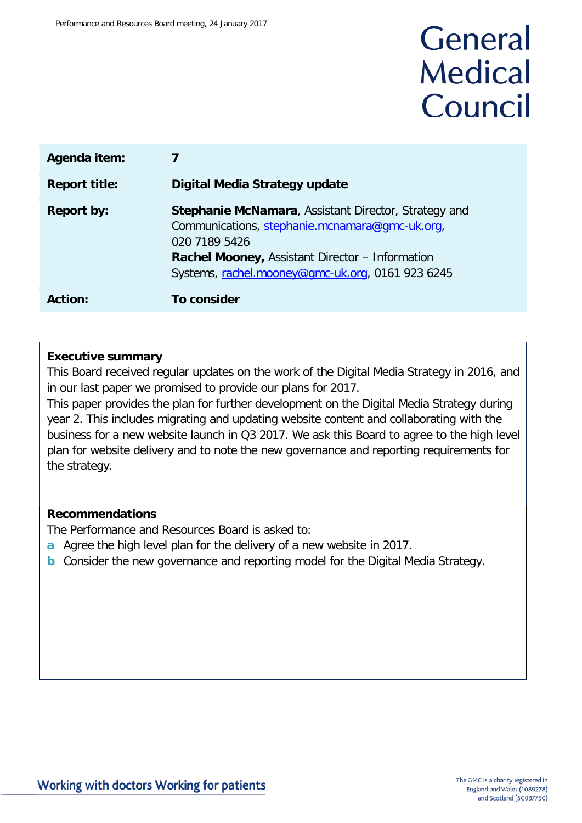# General **Medical** Council

| Agenda item:         |                                                                                                                                                                                                                                |
|----------------------|--------------------------------------------------------------------------------------------------------------------------------------------------------------------------------------------------------------------------------|
| <b>Report title:</b> | Digital Media Strategy update                                                                                                                                                                                                  |
| <b>Report by:</b>    | Stephanie McNamara, Assistant Director, Strategy and<br>Communications, stephanie.mcnamara@gmc-uk.org,<br>020 7189 5426<br>Rachel Mooney, Assistant Director - Information<br>Systems, rachel.mooney@gmc-uk.org, 0161 923 6245 |
| <b>Action:</b>       | <b>To consider</b>                                                                                                                                                                                                             |

#### **Executive summary**

This Board received regular updates on the work of the Digital Media Strategy in 2016, and in our last paper we promised to provide our plans for 2017.

This paper provides the plan for further development on the Digital Media Strategy during year 2. This includes migrating and updating website content and collaborating with the business for a new website launch in Q3 2017. We ask this Board to agree to the high level plan for website delivery and to note the new governance and reporting requirements for the strategy.

### **Recommendations**

The Performance and Resources Board is asked to:

- **a** Agree the high level plan for the delivery of a new website in 2017.
- **b** Consider the new governance and reporting model for the Digital Media Strategy.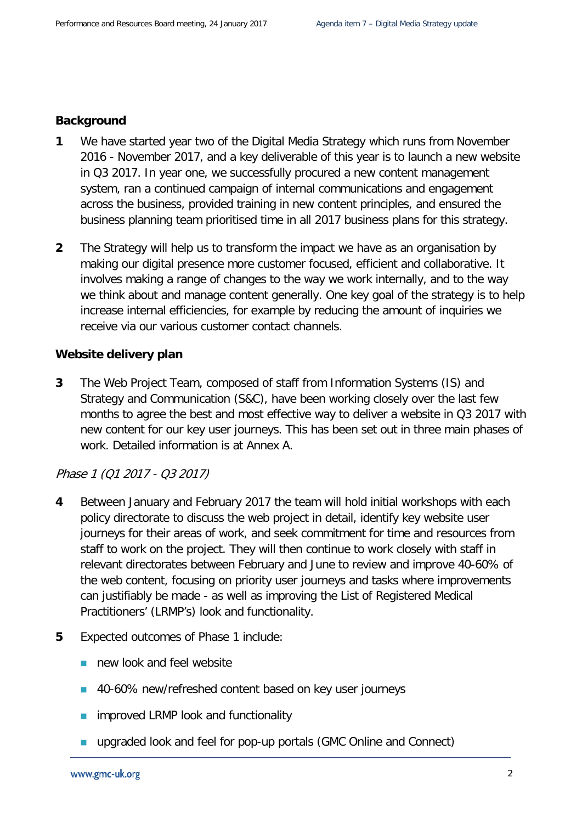#### **Background**

- **1** We have started year two of the Digital Media Strategy which runs from November 2016 - November 2017, and a key deliverable of this year is to launch a new website in Q3 2017. In year one, we successfully procured a new content management system, ran a continued campaign of internal communications and engagement across the business, provided training in new content principles, and ensured the business planning team prioritised time in all 2017 business plans for this strategy.
- **2** The Strategy will help us to transform the impact we have as an organisation by making our digital presence more customer focused, efficient and collaborative. It involves making a range of changes to the way we work internally, and to the way we think about and manage content generally. One key goal of the strategy is to help increase internal efficiencies, for example by reducing the amount of inquiries we receive via our various customer contact channels.

#### **Website delivery plan**

**3** The Web Project Team, composed of staff from Information Systems (IS) and Strategy and Communication (S&C), have been working closely over the last few months to agree the best and most effective way to deliver a website in Q3 2017 with new content for our key user journeys. This has been set out in three main phases of work. Detailed information is at Annex A.

#### Phase 1 (Q1 2017 - Q3 2017)

- **4** Between January and February 2017 the team will hold initial workshops with each policy directorate to discuss the web project in detail, identify key website user journeys for their areas of work, and seek commitment for time and resources from staff to work on the project. They will then continue to work closely with staff in relevant directorates between February and June to review and improve 40-60% of the web content, focusing on priority user journeys and tasks where improvements can justifiably be made - as well as improving the List of Registered Medical Practitioners' (LRMP's) look and functionality.
- **5** Expected outcomes of Phase 1 include:
	- new look and feel website
	- 40-60% new/refreshed content based on key user journeys
	- improved LRMP look and functionality
	- **u** upgraded look and feel for pop-up portals (GMC Online and Connect)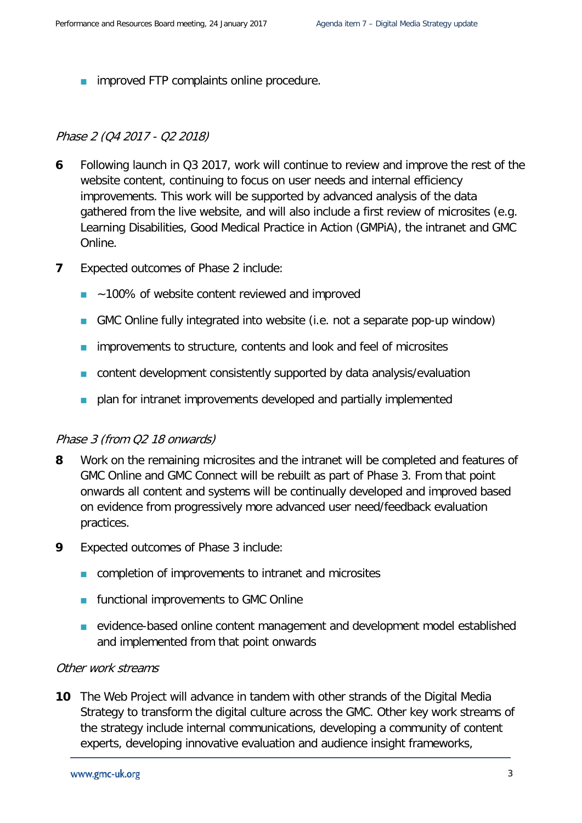**n** improved FTP complaints online procedure.

#### Phase 2 (Q4 2017 - Q2 2018)

- **6** Following launch in Q3 2017, work will continue to review and improve the rest of the website content, continuing to focus on user needs and internal efficiency improvements. This work will be supported by advanced analysis of the data gathered from the live website, and will also include a first review of microsites (e.g. Learning Disabilities, Good Medical Practice in Action (GMPiA), the intranet and GMC Online.
- **7** Expected outcomes of Phase 2 include:
	- ~100% of website content reviewed and improved
	- GMC Online fully integrated into website (i.e. not a separate pop-up window)
	- **n** improvements to structure, contents and look and feel of microsites
	- **n** content development consistently supported by data analysis/evaluation
	- **Partially intraneted** improvements developed and partially implemented

#### Phase 3 (from Q2 18 onwards)

- **8** Work on the remaining microsites and the intranet will be completed and features of GMC Online and GMC Connect will be rebuilt as part of Phase 3. From that point onwards all content and systems will be continually developed and improved based on evidence from progressively more advanced user need/feedback evaluation practices.
- **9** Expected outcomes of Phase 3 include:
	- **n** completion of improvements to intranet and microsites
	- **Functional improvements to GMC Online**
	- **EXECTE EXECTED** evidence-based online content management and development model established and implemented from that point onwards

#### Other work streams

**10** The Web Project will advance in tandem with other strands of the Digital Media Strategy to transform the digital culture across the GMC. Other key work streams of the strategy include internal communications, developing a community of content experts, developing innovative evaluation and audience insight frameworks,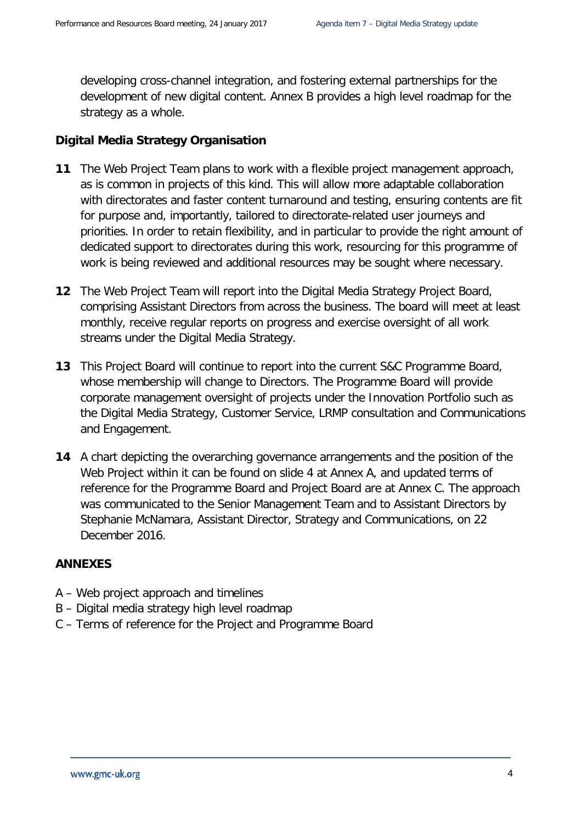developing cross-channel integration, and fostering external partnerships for the development of new digital content. Annex B provides a high level roadmap for the strategy as a whole.

### **Digital Media Strategy Organisation**

- **11** The Web Project Team plans to work with a flexible project management approach, as is common in projects of this kind. This will allow more adaptable collaboration with directorates and faster content turnaround and testing, ensuring contents are fit for purpose and, importantly, tailored to directorate-related user journeys and priorities. In order to retain flexibility, and in particular to provide the right amount of dedicated support to directorates during this work, resourcing for this programme of work is being reviewed and additional resources may be sought where necessary.
- **12** The Web Project Team will report into the Digital Media Strategy Project Board, comprising Assistant Directors from across the business. The board will meet at least monthly, receive regular reports on progress and exercise oversight of all work streams under the Digital Media Strategy.
- **13** This Project Board will continue to report into the current S&C Programme Board, whose membership will change to Directors. The Programme Board will provide corporate management oversight of projects under the Innovation Portfolio such as the Digital Media Strategy, Customer Service, LRMP consultation and Communications and Engagement.
- **14** A chart depicting the overarching governance arrangements and the position of the Web Project within it can be found on slide 4 at Annex A, and updated terms of reference for the Programme Board and Project Board are at Annex C. The approach was communicated to the Senior Management Team and to Assistant Directors by Stephanie McNamara, Assistant Director, Strategy and Communications, on 22 December 2016.

#### **ANNEXES**

- A Web project approach and timelines
- B Digital media strategy high level roadmap
- C Terms of reference for the Project and Programme Board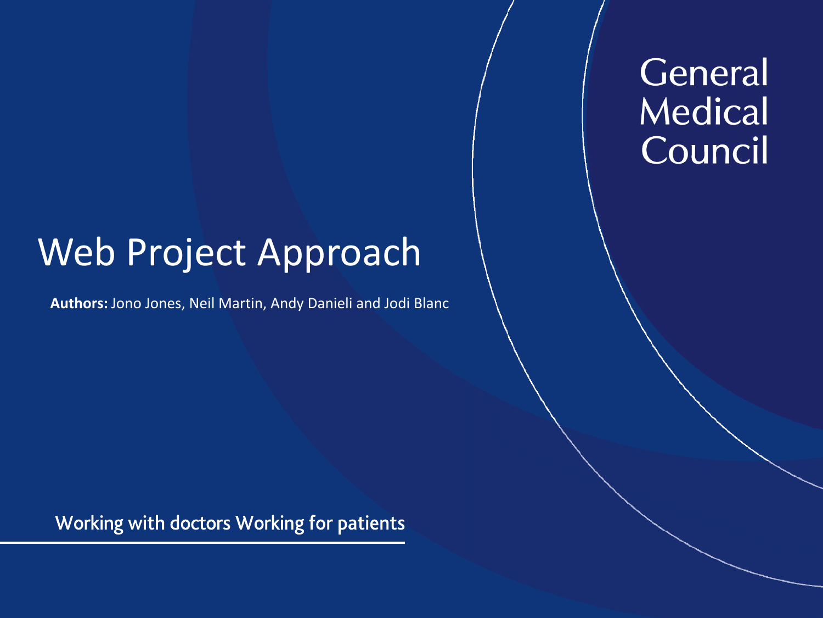# General **Medical** Council

# Web Project Approach

**Authors:** Jono Jones, Neil Martin, Andy Danieli and Jodi Blanc

Working with doctors Working for patients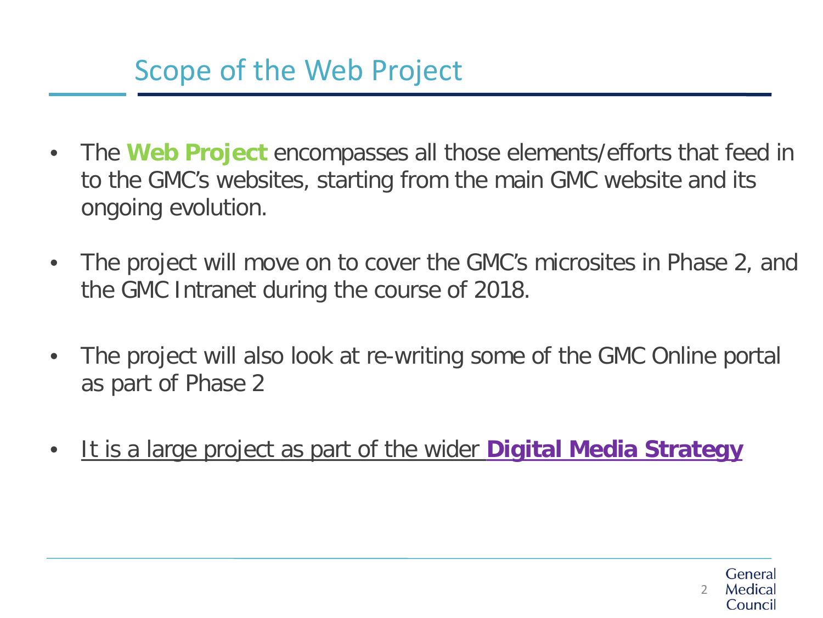## Scope of the Web Project

- The **Web Project** encompasses all those elements/efforts that feed in to the GMC's websites, starting from the main GMC website and its ongoing evolution.
- The project will move on to cover the GMC's microsites in Phase 2, and the GMC Intranet during the course of 2018.
- The project will also look at re-writing some of the GMC Online portal as part of Phase 2
- It is a large project as part of the wider **Digital Media Strategy**

Genera 2Medica Council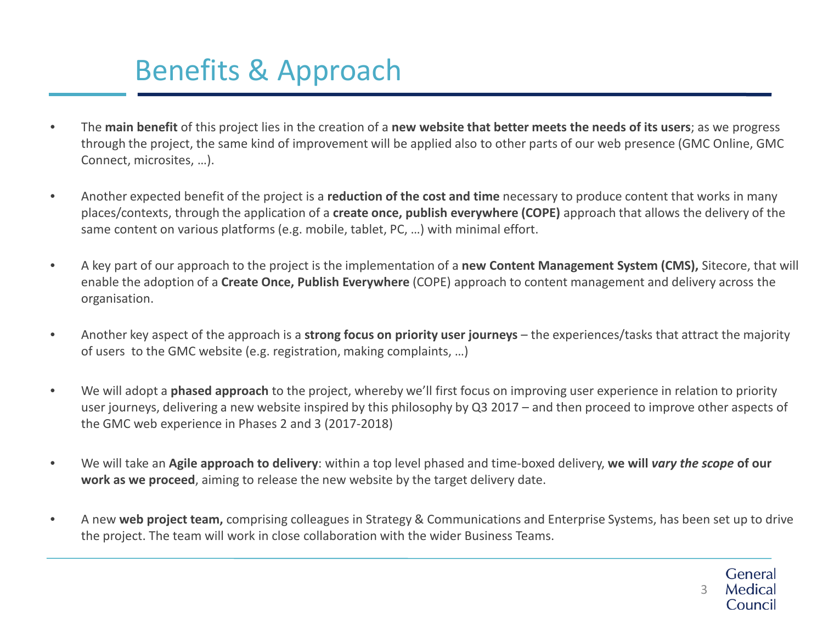## Benefits & Approach

- The **main benefit** of this project lies in the creation of a **new website that better meets the needs of its users**; as we progress through the project, the same kind of improvement will be applied also to other parts of our web presence (GMC Online, GMC Connect, microsites, …).
- Another expected benefit of the project is a **reduction of the cost and time** necessary to produce content that works in many places/contexts, through the application of a **create once, publish everywhere (COPE)** approach that allows the delivery of the same content on various platforms (e.g. mobile, tablet, PC, …) with minimal effort.
- A key part of our approach to the project is the implementation of a **new Content Management System (CMS),** Sitecore, that will enable the adoption of a **Create Once, Publish Everywhere** (COPE) approach to content management and delivery across the organisation.
- Another key aspect of the approach is a **strong focus on priority user journeys** the experiences/tasks that attract the majority of users to the GMC website (e.g. registration, making complaints, …)
- We will adopt a **phased approach** to the project, whereby we'll first focus on improving user experience in relation to priority user journeys, delivering a new website inspired by this philosophy by Q3 2017 – and then proceed to improve other aspects of the GMC web experience in Phases 2 and 3 (2017-2018)
- We will take an **Agile approach to delivery**: within a top level phased and time-boxed delivery, **we will** *vary the scope* **of our work as we proceed**, aiming to release the new website by the target delivery date.
- A new **web project team,** comprising colleagues in Strategy & Communications and Enterprise Systems, has been set up to drive the project. The team will work in close collaboration with the wider Business Teams.

General Medical 3Council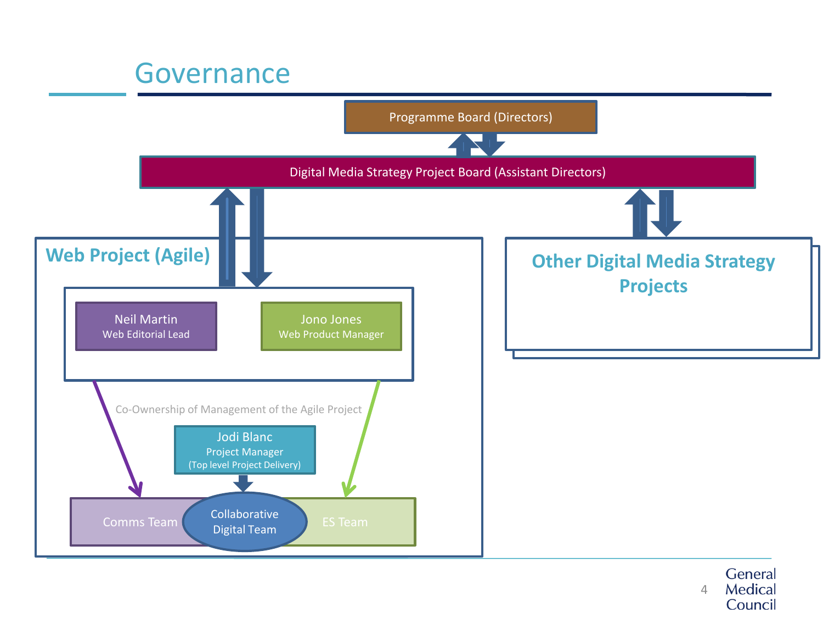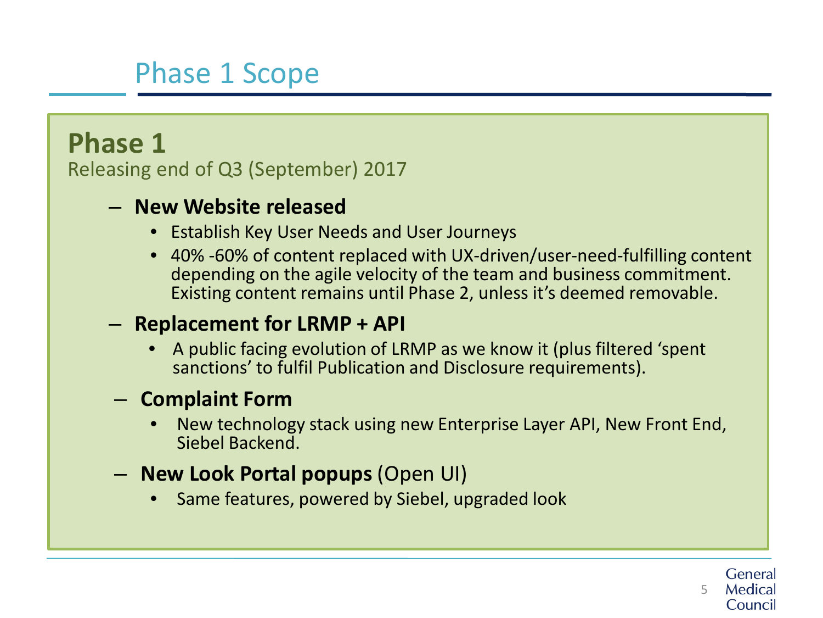## Phase 1 Scope

### **Phase 1**

Releasing end of Q3 (September) 2017

### – **New Website released**

- Establish Key User Needs and User Journeys
- 40% -60% of content replaced with UX-driven/user-need-fulfilling content depending on the agile velocity of the team and business commitment. Existing content remains until Phase 2, unless it's deemed removable.

### – **Replacement for LRMP + API**

• A public facing evolution of LRMP as we know it (plus filtered 'spent sanctions' to fulfil Publication and Disclosure requirements).

### – **Complaint Form**

- New technology stack using new Enterprise Layer API, New Front End, Siebel Backend.
- **New Look Portal popups** (Open UI)
	- Same features, powered by Siebel, upgraded look

Genera 5Medical Council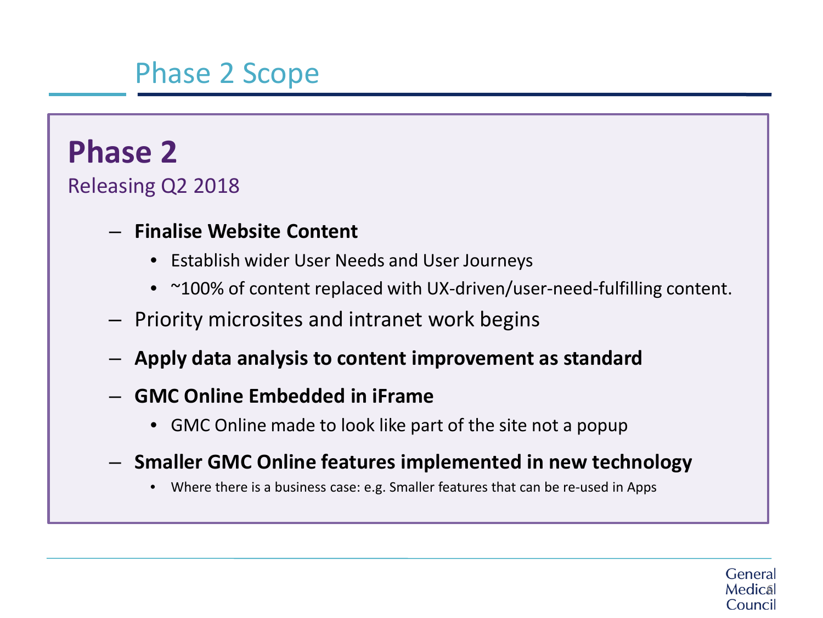## Phase 2 Scope

## **Phase 2**

Releasing Q2 2018

### – **Finalise Website Content**

- Establish wider User Needs and User Journeys
- ~100% of content replaced with UX-driven/user-need-fulfilling content.
- Priority microsites and intranet work begins
- **Apply data analysis to content improvement as standard**
- **GMC Online Embedded in iFrame**
	- GMC Online made to look like part of the site not a popup
- **Smaller GMC Online features implemented in new technology**
	- Where there is a business case: e.g. Smaller features that can be re-used in Apps

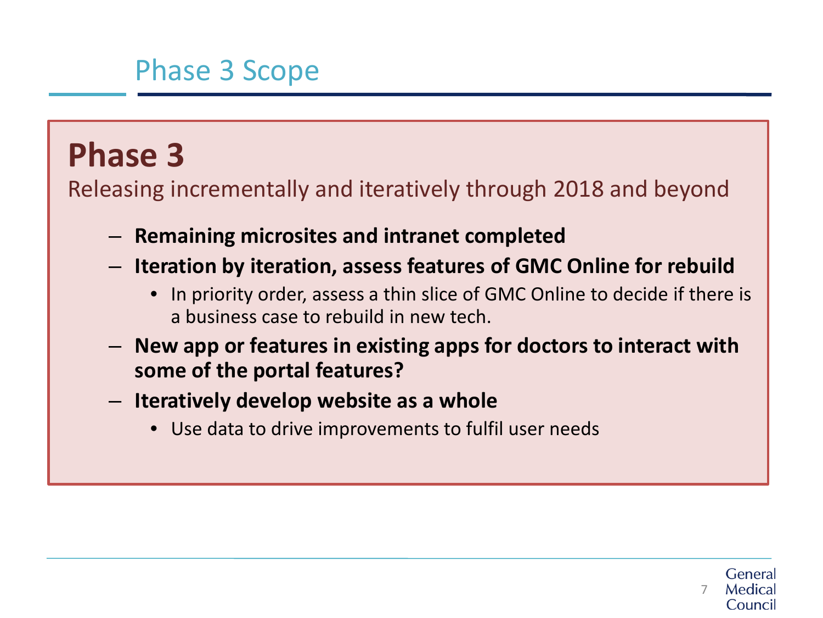## Phase 3 Scope

# **Phase 3**

Releasing incrementally and iteratively through 2018 and beyond

- **Remaining microsites and intranet completed**
- **Iteration by iteration, assess features of GMC Online for rebuild**
	- In priority order, assess a thin slice of GMC Online to decide if there is a business case to rebuild in new tech.
- **New app or features in existing apps for doctors to interact with some of the portal features?**
- **Iteratively develop website as a whole**
	- Use data to drive improvements to fulfil user needs

Genera 7Council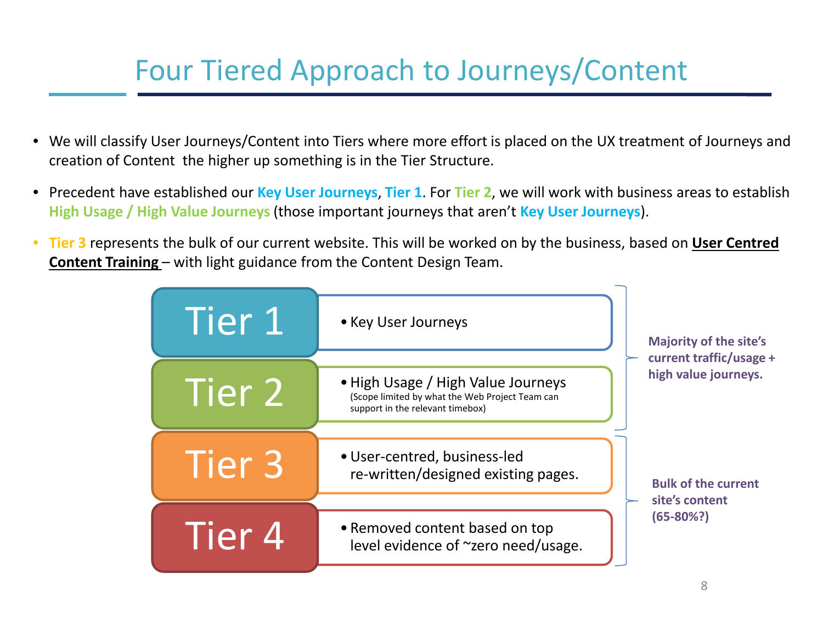## Four Tiered Approach to Journeys/Content

- We will classify User Journeys/Content into Tiers where more effort is placed on the UX treatment of Journeys and creation of Content the higher up something is in the Tier Structure.
- Precedent have established our **Key User Journeys**, **Tier 1**. For **Tier 2**, we will work with business areas to establish **High Usage / High Value Journeys** (those important journeys that aren't **Key User Journeys**).
- **Tier 3** represents the bulk of our current website. This will be worked on by the business, based on **User Centred Content Training** – with light guidance from the Content Design Team.

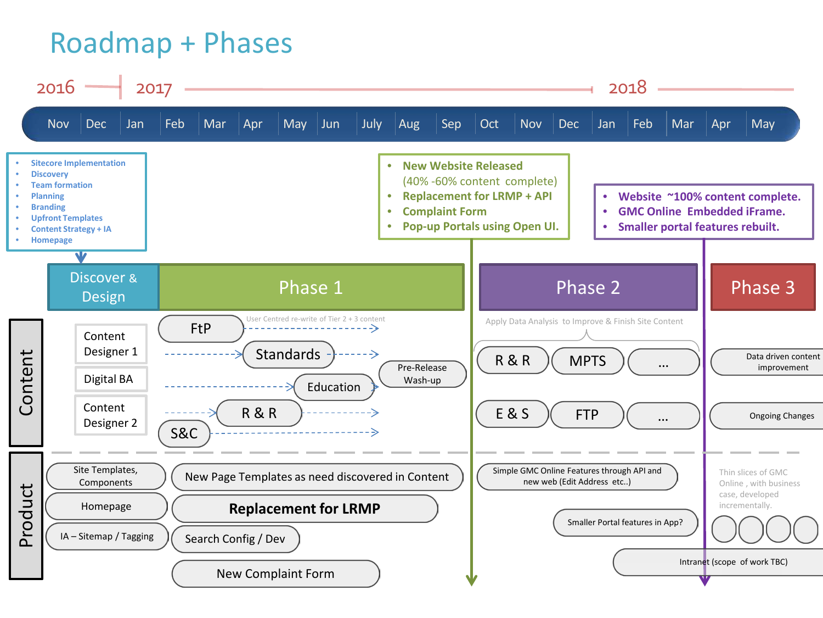## Roadmap + Phases

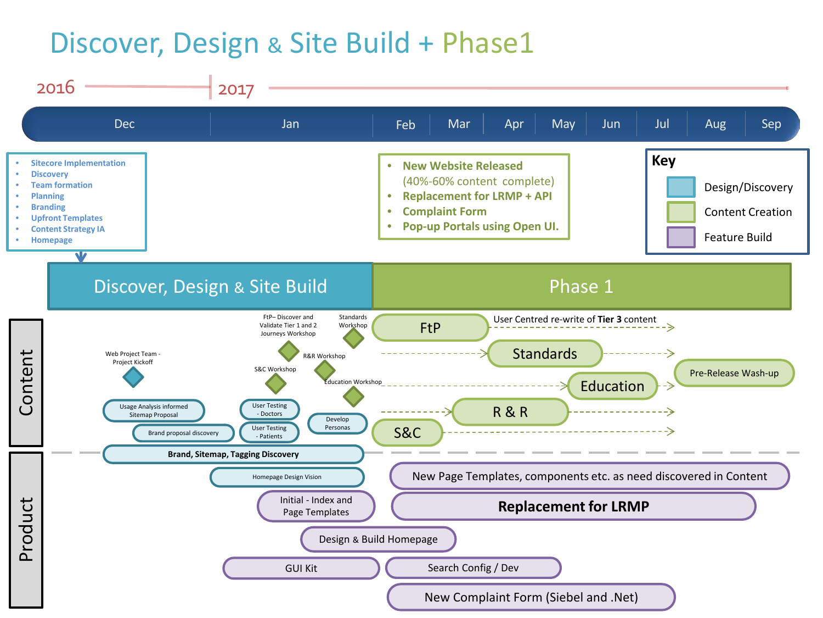## Discover, Design & Site Build + Phase1

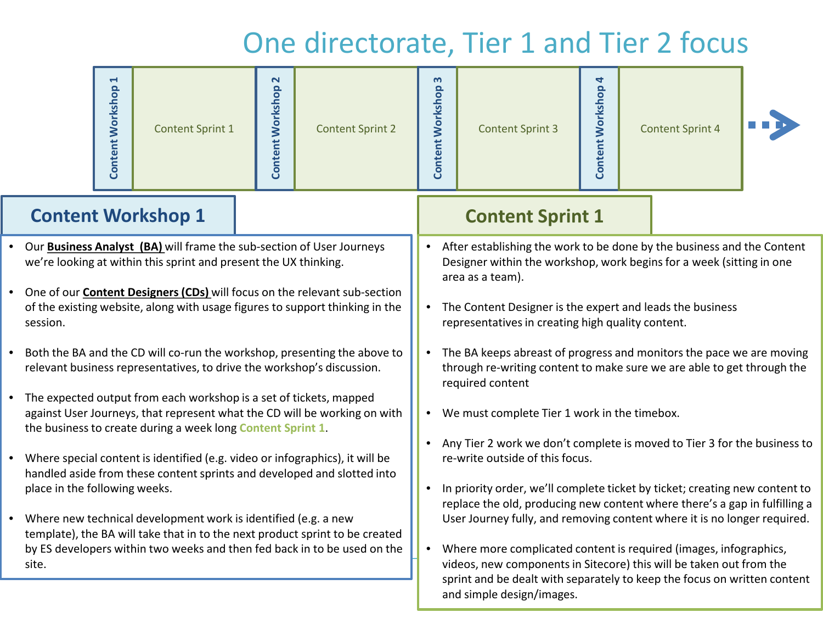## One directorate, Tier 1 and Tier 2 focus

and simple design/images.

|                                                                                                                                                                                                                                     | 1<br><b>Content Workshop</b> | <b>Content Sprint 1</b>   | <b>Content Workshop 2</b>                                                                                                                                                                                            | <b>Content Sprint 2</b> | S<br><b>Content Workshop</b> | <b>Content Sprint 3</b> | 4<br><b>Content Workshop</b> |  | <b>Content Sprint 4</b> |  |
|-------------------------------------------------------------------------------------------------------------------------------------------------------------------------------------------------------------------------------------|------------------------------|---------------------------|----------------------------------------------------------------------------------------------------------------------------------------------------------------------------------------------------------------------|-------------------------|------------------------------|-------------------------|------------------------------|--|-------------------------|--|
|                                                                                                                                                                                                                                     |                              | <b>Content Workshop 1</b> |                                                                                                                                                                                                                      |                         |                              | <b>Content Sprint 1</b> |                              |  |                         |  |
| Our <b>Business Analyst (BA)</b> will frame the sub-section of User Journeys<br>we're looking at within this sprint and present the UX thinking.                                                                                    |                              |                           | After establishing the work to be done by the business and the Content<br>Designer within the workshop, work begins for a week (sitting in one<br>area as a team).                                                   |                         |                              |                         |                              |  |                         |  |
| One of our <b>Content Designers (CDs)</b> will focus on the relevant sub-section<br>of the existing website, along with usage figures to support thinking in the<br>session.                                                        |                              |                           | • The Content Designer is the expert and leads the business<br>representatives in creating high quality content.                                                                                                     |                         |                              |                         |                              |  |                         |  |
| Both the BA and the CD will co-run the workshop, presenting the above to<br>relevant business representatives, to drive the workshop's discussion.                                                                                  |                              |                           | The BA keeps abreast of progress and monitors the pace we are moving<br>through re-writing content to make sure we are able to get through the<br>required content                                                   |                         |                              |                         |                              |  |                         |  |
| The expected output from each workshop is a set of tickets, mapped<br>against User Journeys, that represent what the CD will be working on with<br>the business to create during a week long Content Sprint 1.                      |                              |                           | • We must complete Tier 1 work in the timebox.                                                                                                                                                                       |                         |                              |                         |                              |  |                         |  |
| Where special content is identified (e.g. video or infographics), it will be<br>handled aside from these content sprints and developed and slotted into<br>place in the following weeks.                                            |                              |                           | Any Tier 2 work we don't complete is moved to Tier 3 for the business to<br>re-write outside of this focus.<br>In priority order, we'll complete ticket by ticket; creating new content to                           |                         |                              |                         |                              |  |                         |  |
| Where new technical development work is identified (e.g. a new<br>template), the BA will take that in to the next product sprint to be created<br>by ES developers within two weeks and then fed back in to be used on the<br>site. |                              |                           | replace the old, producing new content where there's a gap in fulfilling a<br>User Journey fully, and removing content where it is no longer required.                                                               |                         |                              |                         |                              |  |                         |  |
|                                                                                                                                                                                                                                     |                              |                           | Where more complicated content is required (images, infographics,<br>videos, new components in Sitecore) this will be taken out from the<br>sprint and be dealt with separately to keep the focus on written content |                         |                              |                         |                              |  |                         |  |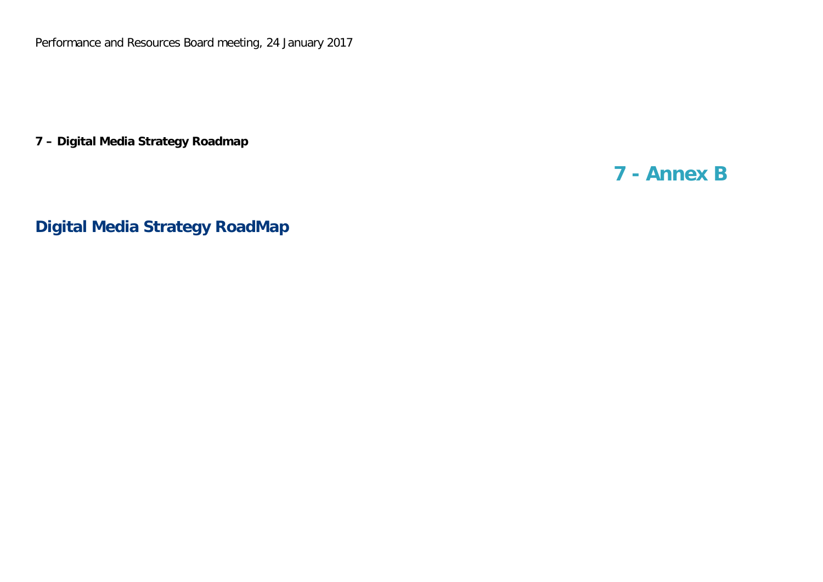Performance and Resources Board meeting, 24 January 2017

**7 – Digital Media Strategy Roadmap**

### **7 - Annex B**

**Digital Media Strategy RoadMap**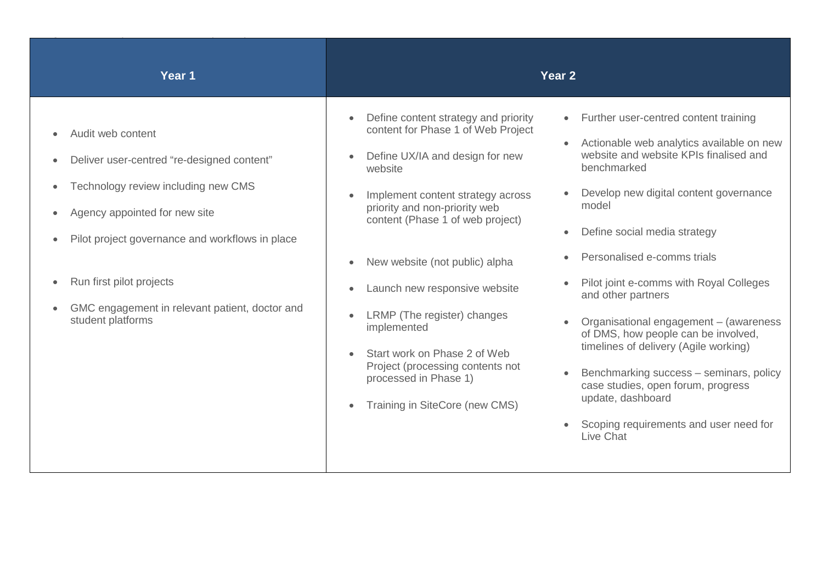| Year 1                                                                                                                                                                                                                                                                                        |                                                                                                                                                                                                                                                                                                                                                                                                                                                                                                 | Year 2                                                                                                                                                                                                                                                                                                                                                                                                                                                                                                                                                                                                                  |
|-----------------------------------------------------------------------------------------------------------------------------------------------------------------------------------------------------------------------------------------------------------------------------------------------|-------------------------------------------------------------------------------------------------------------------------------------------------------------------------------------------------------------------------------------------------------------------------------------------------------------------------------------------------------------------------------------------------------------------------------------------------------------------------------------------------|-------------------------------------------------------------------------------------------------------------------------------------------------------------------------------------------------------------------------------------------------------------------------------------------------------------------------------------------------------------------------------------------------------------------------------------------------------------------------------------------------------------------------------------------------------------------------------------------------------------------------|
| Audit web content<br>Deliver user-centred "re-designed content"<br>Technology review including new CMS<br>Agency appointed for new site<br>Pilot project governance and workflows in place<br>Run first pilot projects<br>GMC engagement in relevant patient, doctor and<br>student platforms | Define content strategy and priority<br>content for Phase 1 of Web Project<br>Define UX/IA and design for new<br>website<br>Implement content strategy across<br>priority and non-priority web<br>content (Phase 1 of web project)<br>New website (not public) alpha<br>Launch new responsive website<br>$\bullet$<br>LRMP (The register) changes<br>implemented<br>Start work on Phase 2 of Web<br>Project (processing contents not<br>processed in Phase 1)<br>Training in SiteCore (new CMS) | • Further user-centred content training<br>Actionable web analytics available on new<br>website and website KPIs finalised and<br>benchmarked<br>Develop new digital content governance<br>model<br>Define social media strategy<br>Personalised e-comms trials<br>Pilot joint e-comms with Royal Colleges<br>and other partners<br>Organisational engagement - (awareness<br>of DMS, how people can be involved,<br>timelines of delivery (Agile working)<br>Benchmarking success - seminars, policy<br>case studies, open forum, progress<br>update, dashboard<br>Scoping requirements and user need for<br>Live Chat |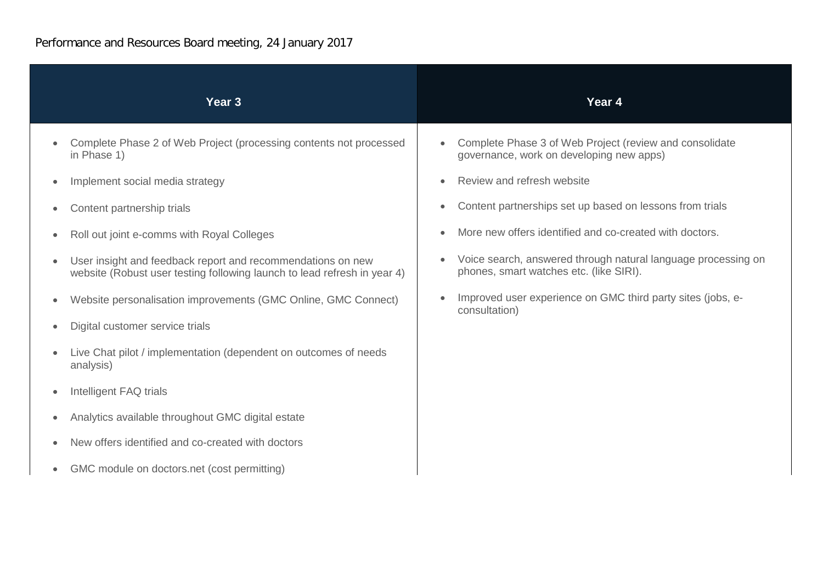| Year <sub>3</sub>                                                                                                                       | Year 4                                                                                                   |
|-----------------------------------------------------------------------------------------------------------------------------------------|----------------------------------------------------------------------------------------------------------|
| Complete Phase 2 of Web Project (processing contents not processed<br>in Phase 1)                                                       | Complete Phase 3 of Web Project (review and consolidate<br>governance, work on developing new apps)      |
| Implement social media strategy                                                                                                         | Review and refresh website                                                                               |
| Content partnership trials                                                                                                              | Content partnerships set up based on lessons from trials                                                 |
| Roll out joint e-comms with Royal Colleges                                                                                              | More new offers identified and co-created with doctors.                                                  |
| User insight and feedback report and recommendations on new<br>website (Robust user testing following launch to lead refresh in year 4) | Voice search, answered through natural language processing on<br>phones, smart watches etc. (like SIRI). |
| Website personalisation improvements (GMC Online, GMC Connect)                                                                          | Improved user experience on GMC third party sites (jobs, e-<br>$\bullet$<br>consultation)                |
| Digital customer service trials                                                                                                         |                                                                                                          |
| Live Chat pilot / implementation (dependent on outcomes of needs<br>analysis)                                                           |                                                                                                          |
| Intelligent FAQ trials                                                                                                                  |                                                                                                          |
| Analytics available throughout GMC digital estate                                                                                       |                                                                                                          |
| New offers identified and co-created with doctors                                                                                       |                                                                                                          |
| GMC module on doctors.net (cost permitting)                                                                                             |                                                                                                          |
|                                                                                                                                         |                                                                                                          |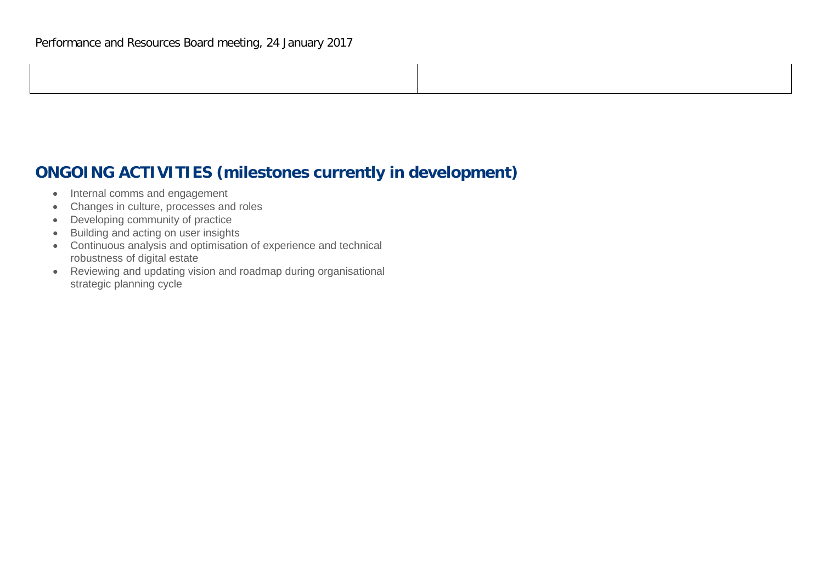### **ONGOING ACTIVITIES (milestones currently in development)**

- Internal comms and engagement
- Changes in culture, processes and roles
- Developing community of practice
- Building and acting on user insights
- Continuous analysis and optimisation of experience and technical robustness of digital estate
- Reviewing and updating vision and roadmap during organisational strategic planning cycle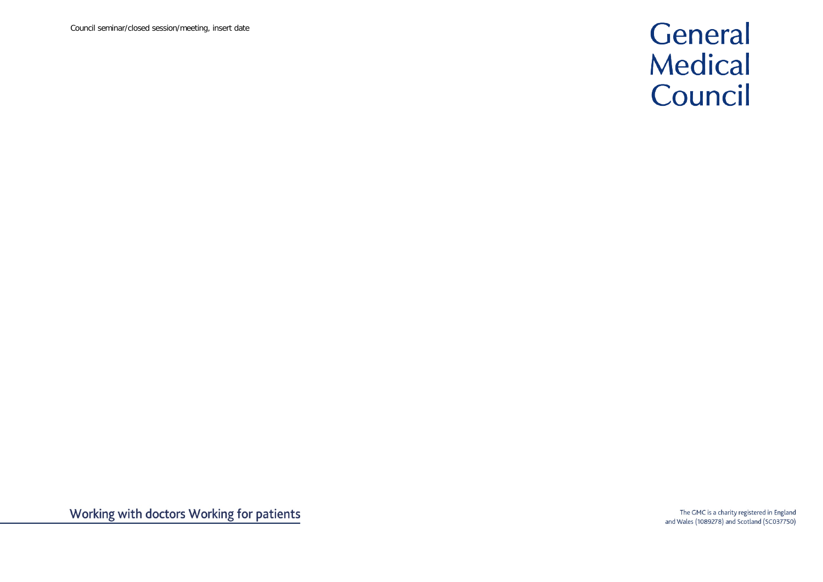Council seminar/closed session/meeting, insert date

## General Medical Council

The GMC is a charity registered in England and Wales (1089278) and Scotland (SC037750)

Working with doctors Working for patients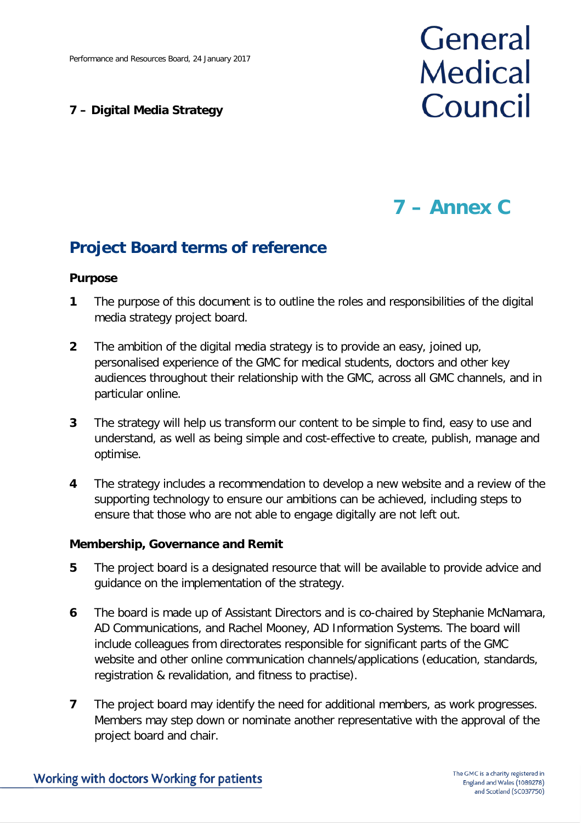### **7 – Digital Media Strategy**

# General **Medical** Council

### **7 – Annex C**

### **Project Board terms of reference**

### **Purpose**

- **1** The purpose of this document is to outline the roles and responsibilities of the digital media strategy project board.
- **2** The ambition of the digital media strategy is to provide an easy, joined up, personalised experience of the GMC for medical students, doctors and other key audiences throughout their relationship with the GMC, across all GMC channels, and in particular online.
- **3** The strategy will help us transform our content to be simple to find, easy to use and understand, as well as being simple and cost-effective to create, publish, manage and optimise.
- **4** The strategy includes a recommendation to develop a new website and a review of the supporting technology to ensure our ambitions can be achieved, including steps to ensure that those who are not able to engage digitally are not left out.

### **Membership, Governance and Remit**

- **5** The project board is a designated resource that will be available to provide advice and guidance on the implementation of the strategy.
- **6** The board is made up of Assistant Directors and is co-chaired by Stephanie McNamara, AD Communications, and Rachel Mooney, AD Information Systems. The board will include colleagues from directorates responsible for significant parts of the GMC website and other online communication channels/applications (education, standards, registration & revalidation, and fitness to practise).
- **7** The project board may identify the need for additional members, as work progresses. Members may step down or nominate another representative with the approval of the project board and chair.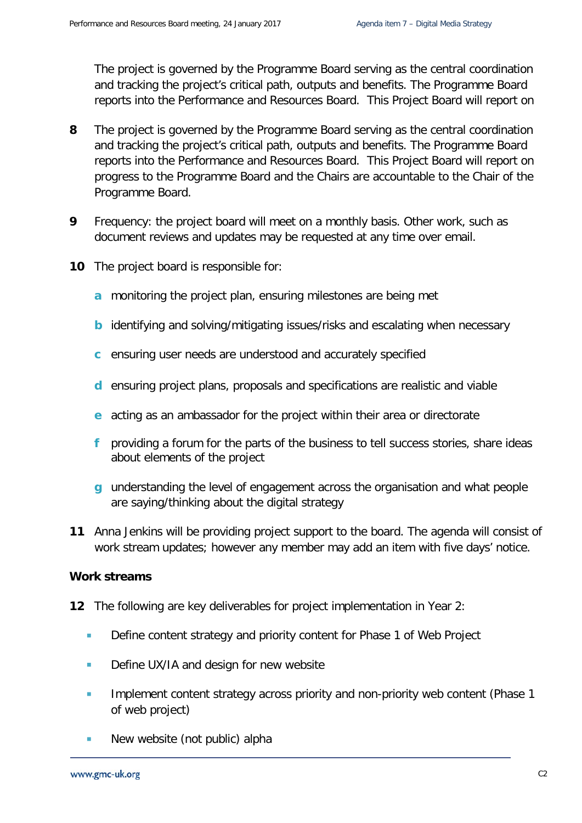The project is governed by the Programme Board serving as the central coordination and tracking the project's critical path, outputs and benefits. The Programme Board reports into the Performance and Resources Board. This Project Board will report on

- **8** The project is governed by the Programme Board serving as the central coordination and tracking the project's critical path, outputs and benefits. The Programme Board reports into the Performance and Resources Board. This Project Board will report on progress to the Programme Board and the Chairs are accountable to the Chair of the Programme Board.
- **9** Frequency: the project board will meet on a monthly basis. Other work, such as document reviews and updates may be requested at any time over email.
- **10** The project board is responsible for:
	- **a** monitoring the project plan, ensuring milestones are being met
	- **b** identifying and solving/mitigating issues/risks and escalating when necessary
	- **c** ensuring user needs are understood and accurately specified
	- **d** ensuring project plans, proposals and specifications are realistic and viable
	- **e** acting as an ambassador for the project within their area or directorate
	- **f** providing a forum for the parts of the business to tell success stories, share ideas about elements of the project
	- **g** understanding the level of engagement across the organisation and what people are saying/thinking about the digital strategy
- **11** Anna Jenkins will be providing project support to the board. The agenda will consist of work stream updates; however any member may add an item with five days' notice.

#### **Work streams**

- **12** The following are key deliverables for project implementation in Year 2:
	- Define content strategy and priority content for Phase 1 of Web Project
	- Define UX/IA and design for new website
	- **Implement content strategy across priority and non-priority web content (Phase 1** of web project)
	- **New website (not public) alpha**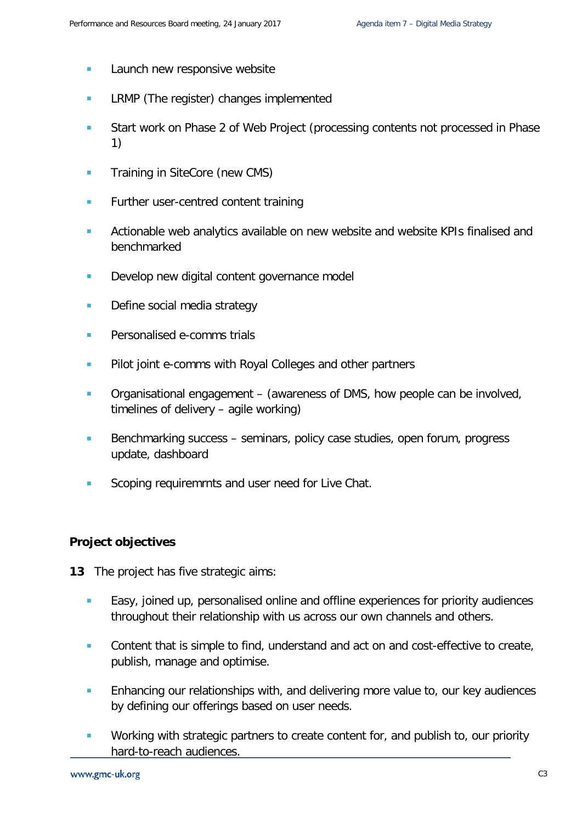- **Launch new responsive website**
- **LRMP** (The register) changes implemented
- Start work on Phase 2 of Web Project (processing contents not processed in Phase 1)
- **Training in SiteCore (new CMS)**
- **Further user-centred content training**
- **EXTERGHED Actionable web analytics available on new website and website KPIs finalised and** benchmarked
- Develop new digital content governance model
- Define social media strategy
- **Personalised e-comms trials**
- **Pilot joint e-comms with Royal Colleges and other partners**
- **Communisational engagement (awareness of DMS, how people can be involved,** timelines of delivery – agile working)
- Benchmarking success seminars, policy case studies, open forum, progress update, dashboard
- Scoping requiremrnts and user need for Live Chat.

#### **Project objectives**

- **13** The project has five strategic aims:
	- **Easy, joined up, personalised online and offline experiences for priority audiences** throughout their relationship with us across our own channels and others.
	- **Content that is simple to find, understand and act on and cost-effective to create,** publish, manage and optimise.
	- **Enhancing our relationships with, and delivering more value to, our key audiences** by defining our offerings based on user needs.
	- **Working with strategic partners to create content for, and publish to, our priority** hard-to-reach audiences.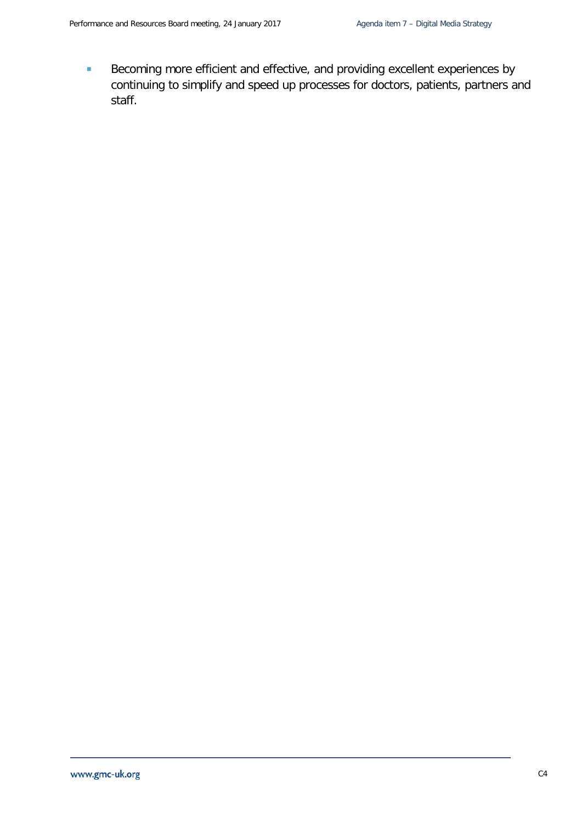Becoming more efficient and effective, and providing excellent experiences by continuing to simplify and speed up processes for doctors, patients, partners and staff.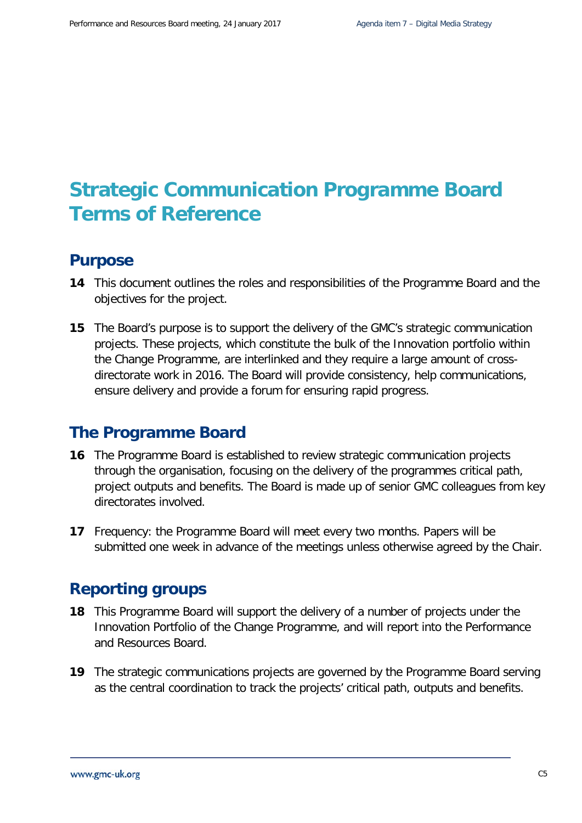### **Strategic Communication Programme Board Terms of Reference**

### **Purpose**

- **14** This document outlines the roles and responsibilities of the Programme Board and the objectives for the project.
- **15** The Board's purpose is to support the delivery of the GMC's strategic communication projects. These projects, which constitute the bulk of the Innovation portfolio within the Change Programme, are interlinked and they require a large amount of crossdirectorate work in 2016. The Board will provide consistency, help communications, ensure delivery and provide a forum for ensuring rapid progress.

### **The Programme Board**

- **16** The Programme Board is established to review strategic communication projects through the organisation, focusing on the delivery of the programmes critical path, project outputs and benefits. The Board is made up of senior GMC colleagues from key directorates involved.
- **17** Frequency: the Programme Board will meet every two months. Papers will be submitted one week in advance of the meetings unless otherwise agreed by the Chair.

### **Reporting groups**

- **18** This Programme Board will support the delivery of a number of projects under the Innovation Portfolio of the Change Programme, and will report into the Performance and Resources Board.
- **19** The strategic communications projects are governed by the Programme Board serving as the central coordination to track the projects' critical path, outputs and benefits.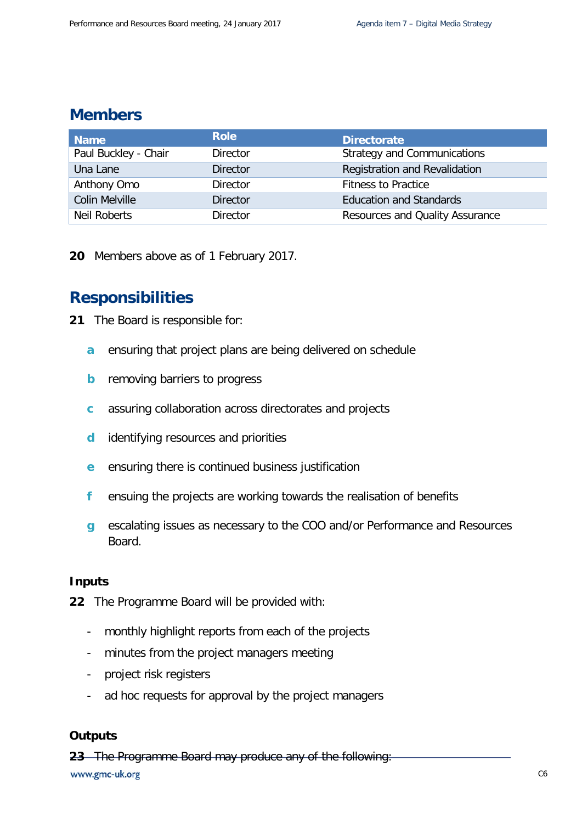### **Members**

| <b>Name</b>           | <b>Role</b>     | <b>Directorate</b>              |
|-----------------------|-----------------|---------------------------------|
| Paul Buckley - Chair  | <b>Director</b> | Strategy and Communications     |
| Una Lane              | <b>Director</b> | Registration and Revalidation   |
| Anthony Omo           | <b>Director</b> | <b>Fitness to Practice</b>      |
| <b>Colin Melville</b> | <b>Director</b> | <b>Education and Standards</b>  |
| Neil Roberts          | <b>Director</b> | Resources and Quality Assurance |

**20** Members above as of 1 February 2017.

### **Responsibilities**

- **21** The Board is responsible for:
	- **a** ensuring that project plans are being delivered on schedule
	- **b** removing barriers to progress
	- **c** assuring collaboration across directorates and projects
	- **d** identifying resources and priorities
	- **e** ensuring there is continued business justification
	- **f** ensuing the projects are working towards the realisation of benefits
	- **g** escalating issues as necessary to the COO and/or Performance and Resources Board.

#### **Inputs**

- **22** The Programme Board will be provided with:
	- monthly highlight reports from each of the projects
	- minutes from the project managers meeting
	- project risk registers
	- ad hoc requests for approval by the project managers

### **Outputs**

**23** The Programme Board may produce any of the following:

www.gmc-uk.org